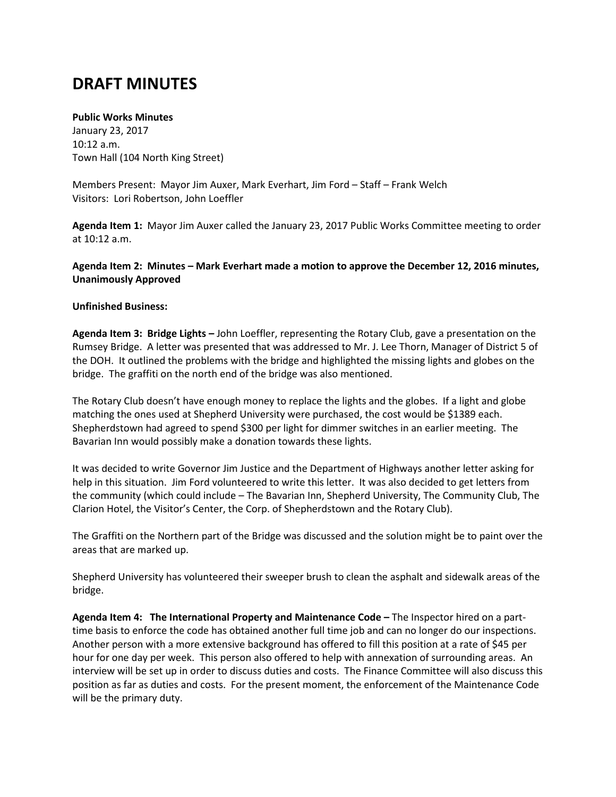# **DRAFT MINUTES**

## **Public Works Minutes**

January 23, 2017 10:12 a.m. Town Hall (104 North King Street)

Members Present: Mayor Jim Auxer, Mark Everhart, Jim Ford – Staff – Frank Welch Visitors: Lori Robertson, John Loeffler

**Agenda Item 1:** Mayor Jim Auxer called the January 23, 2017 Public Works Committee meeting to order at 10:12 a.m.

**Agenda Item 2: Minutes – Mark Everhart made a motion to approve the December 12, 2016 minutes, Unanimously Approved**

## **Unfinished Business:**

**Agenda Item 3: Bridge Lights –** John Loeffler, representing the Rotary Club, gave a presentation on the Rumsey Bridge. A letter was presented that was addressed to Mr. J. Lee Thorn, Manager of District 5 of the DOH. It outlined the problems with the bridge and highlighted the missing lights and globes on the bridge. The graffiti on the north end of the bridge was also mentioned.

The Rotary Club doesn't have enough money to replace the lights and the globes. If a light and globe matching the ones used at Shepherd University were purchased, the cost would be \$1389 each. Shepherdstown had agreed to spend \$300 per light for dimmer switches in an earlier meeting. The Bavarian Inn would possibly make a donation towards these lights.

It was decided to write Governor Jim Justice and the Department of Highways another letter asking for help in this situation. Jim Ford volunteered to write this letter. It was also decided to get letters from the community (which could include – The Bavarian Inn, Shepherd University, The Community Club, The Clarion Hotel, the Visitor's Center, the Corp. of Shepherdstown and the Rotary Club).

The Graffiti on the Northern part of the Bridge was discussed and the solution might be to paint over the areas that are marked up.

Shepherd University has volunteered their sweeper brush to clean the asphalt and sidewalk areas of the bridge.

**Agenda Item 4: The International Property and Maintenance Code –** The Inspector hired on a parttime basis to enforce the code has obtained another full time job and can no longer do our inspections. Another person with a more extensive background has offered to fill this position at a rate of \$45 per hour for one day per week. This person also offered to help with annexation of surrounding areas. An interview will be set up in order to discuss duties and costs. The Finance Committee will also discuss this position as far as duties and costs. For the present moment, the enforcement of the Maintenance Code will be the primary duty.